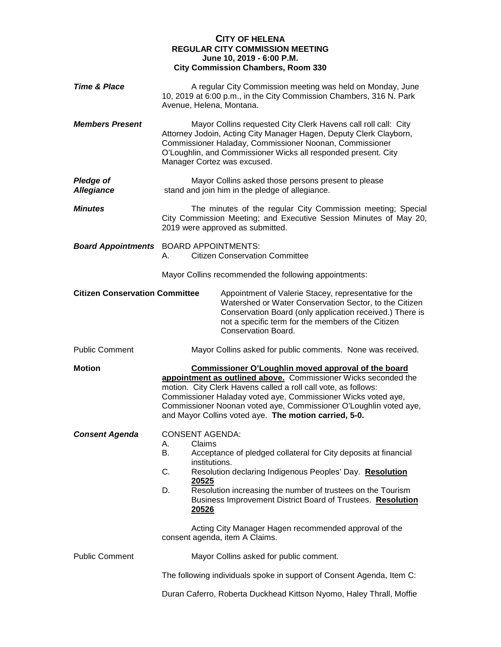## **CITY OF HELENA REGULAR CITY COMMISSION MEETING June 10, 2019 - 6:00 P.M. City Commission Chambers, Room 330**

| <b>Time &amp; Place</b>               | A regular City Commission meeting was held on Monday, June<br>10, 2019 at 6:00 p.m., in the City Commission Chambers, 316 N. Park<br>Avenue, Helena, Montana.                                                                                                                                                                                                                                                                                       |
|---------------------------------------|-----------------------------------------------------------------------------------------------------------------------------------------------------------------------------------------------------------------------------------------------------------------------------------------------------------------------------------------------------------------------------------------------------------------------------------------------------|
| <b>Members Present</b>                | Mayor Collins requested City Clerk Havens call roll call: City<br>Attorney Jodoin, Acting City Manager Hagen, Deputy Clerk Clayborn,<br>Commissioner Haladay, Commissioner Noonan, Commissioner<br>O'Loughlin, and Commissioner Wicks all responded present. City<br>Manager Cortez was excused.                                                                                                                                                    |
| <b>Pledge of</b><br><b>Allegiance</b> | Mayor Collins asked those persons present to please<br>stand and join him in the pledge of allegiance.                                                                                                                                                                                                                                                                                                                                              |
| <b>Minutes</b>                        | The minutes of the regular City Commission meeting; Special<br>City Commission Meeting; and Executive Session Minutes of May 20,<br>2019 were approved as submitted.                                                                                                                                                                                                                                                                                |
|                                       | <b>Board Appointments</b> BOARD APPOINTMENTS:<br><b>Citizen Conservation Committee</b><br>А.                                                                                                                                                                                                                                                                                                                                                        |
|                                       | Mayor Collins recommended the following appointments:                                                                                                                                                                                                                                                                                                                                                                                               |
| <b>Citizen Conservation Committee</b> | Appointment of Valerie Stacey, representative for the<br>Watershed or Water Conservation Sector, to the Citizen<br>Conservation Board (only application received.) There is<br>not a specific term for the members of the Citizen<br>Conservation Board.                                                                                                                                                                                            |
| <b>Public Comment</b>                 | Mayor Collins asked for public comments. None was received.                                                                                                                                                                                                                                                                                                                                                                                         |
| <b>Motion</b>                         | Commissioner O'Loughlin moved approval of the board<br>appointment as outlined above. Commissioner Wicks seconded the<br>motion. City Clerk Havens called a roll call vote, as follows:<br>Commissioner Haladay voted aye, Commissioner Wicks voted aye,<br>Commissioner Noonan voted aye, Commissioner O'Loughlin voted aye,<br>and Mayor Collins voted aye. The motion carried, 5-0.                                                              |
| <b>Consent Agenda</b>                 | <b>CONSENT AGENDA:</b><br>Claims<br>А.<br>Acceptance of pledged collateral for City deposits at financial<br>В.<br>institutions.<br>C.<br>Resolution declaring Indigenous Peoples' Day. Resolution<br>20525<br>Resolution increasing the number of trustees on the Tourism<br>D.<br>Business Improvement District Board of Trustees. Resolution<br>20526<br>Acting City Manager Hagen recommended approval of the<br>consent agenda, item A Claims. |
| <b>Public Comment</b>                 | Mayor Collins asked for public comment.                                                                                                                                                                                                                                                                                                                                                                                                             |
|                                       | The following individuals spoke in support of Consent Agenda, Item C:                                                                                                                                                                                                                                                                                                                                                                               |
|                                       | Duran Caferro, Roberta Duckhead Kittson Nyomo, Haley Thrall, Moffie                                                                                                                                                                                                                                                                                                                                                                                 |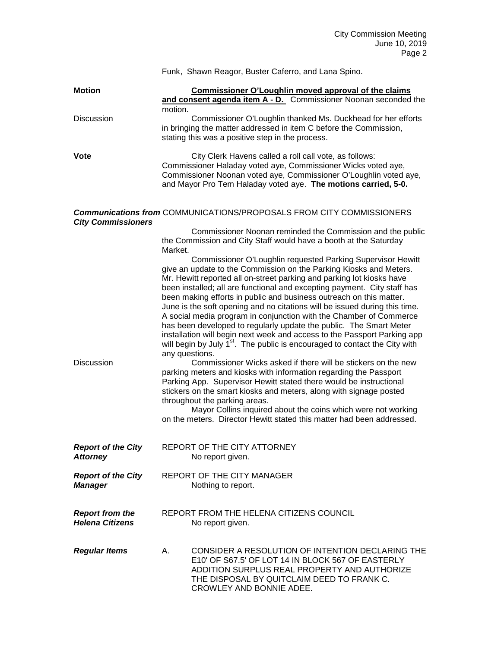|                                                  |                | Funk, Shawn Reagor, Buster Caferro, and Lana Spino.                                                                                                                                                                                                                                                                                                                                                                                                                                                                                                                                                                                                                                                                                                                                                                                                                                                 |
|--------------------------------------------------|----------------|-----------------------------------------------------------------------------------------------------------------------------------------------------------------------------------------------------------------------------------------------------------------------------------------------------------------------------------------------------------------------------------------------------------------------------------------------------------------------------------------------------------------------------------------------------------------------------------------------------------------------------------------------------------------------------------------------------------------------------------------------------------------------------------------------------------------------------------------------------------------------------------------------------|
| <b>Motion</b>                                    | motion.        | Commissioner O'Loughlin moved approval of the claims<br>and consent agenda item A - D. Commissioner Noonan seconded the                                                                                                                                                                                                                                                                                                                                                                                                                                                                                                                                                                                                                                                                                                                                                                             |
| <b>Discussion</b>                                |                | Commissioner O'Loughlin thanked Ms. Duckhead for her efforts<br>in bringing the matter addressed in item C before the Commission,<br>stating this was a positive step in the process.                                                                                                                                                                                                                                                                                                                                                                                                                                                                                                                                                                                                                                                                                                               |
| Vote                                             |                | City Clerk Havens called a roll call vote, as follows:<br>Commissioner Haladay voted aye, Commissioner Wicks voted aye,<br>Commissioner Noonan voted aye, Commissioner O'Loughlin voted aye,<br>and Mayor Pro Tem Haladay voted aye. The motions carried, 5-0.                                                                                                                                                                                                                                                                                                                                                                                                                                                                                                                                                                                                                                      |
| <b>City Commissioners</b>                        |                | <b>Communications from COMMUNICATIONS/PROPOSALS FROM CITY COMMISSIONERS</b>                                                                                                                                                                                                                                                                                                                                                                                                                                                                                                                                                                                                                                                                                                                                                                                                                         |
|                                                  | Market.        | Commissioner Noonan reminded the Commission and the public<br>the Commission and City Staff would have a booth at the Saturday                                                                                                                                                                                                                                                                                                                                                                                                                                                                                                                                                                                                                                                                                                                                                                      |
| <b>Discussion</b>                                | any questions. | Commissioner O'Loughlin requested Parking Supervisor Hewitt<br>give an update to the Commission on the Parking Kiosks and Meters.<br>Mr. Hewitt reported all on-street parking and parking lot kiosks have<br>been installed; all are functional and excepting payment. City staff has<br>been making efforts in public and business outreach on this matter.<br>June is the soft opening and no citations will be issued during this time.<br>A social media program in conjunction with the Chamber of Commerce<br>has been developed to regularly update the public. The Smart Meter<br>installation will begin next week and access to the Passport Parking app<br>will begin by July 1 <sup>st</sup> . The public is encouraged to contact the City with<br>Commissioner Wicks asked if there will be stickers on the new<br>parking meters and kiosks with information regarding the Passport |
|                                                  |                | Parking App. Supervisor Hewitt stated there would be instructional<br>stickers on the smart kiosks and meters, along with signage posted<br>throughout the parking areas.<br>Mayor Collins inquired about the coins which were not working<br>on the meters. Director Hewitt stated this matter had been addressed.                                                                                                                                                                                                                                                                                                                                                                                                                                                                                                                                                                                 |
| <b>Report of the City</b><br><b>Attorney</b>     |                | REPORT OF THE CITY ATTORNEY<br>No report given.                                                                                                                                                                                                                                                                                                                                                                                                                                                                                                                                                                                                                                                                                                                                                                                                                                                     |
| <b>Report of the City</b><br><b>Manager</b>      |                | <b>REPORT OF THE CITY MANAGER</b><br>Nothing to report.                                                                                                                                                                                                                                                                                                                                                                                                                                                                                                                                                                                                                                                                                                                                                                                                                                             |
| <b>Report from the</b><br><b>Helena Citizens</b> |                | REPORT FROM THE HELENA CITIZENS COUNCIL<br>No report given.                                                                                                                                                                                                                                                                                                                                                                                                                                                                                                                                                                                                                                                                                                                                                                                                                                         |
| <b>Regular Items</b>                             | А.             | CONSIDER A RESOLUTION OF INTENTION DECLARING THE<br>E10' OF S67.5' OF LOT 14 IN BLOCK 567 OF EASTERLY<br>ADDITION SURPLUS REAL PROPERTY AND AUTHORIZE<br>THE DISPOSAL BY QUITCLAIM DEED TO FRANK C.<br>CROWLEY AND BONNIE ADEE.                                                                                                                                                                                                                                                                                                                                                                                                                                                                                                                                                                                                                                                                     |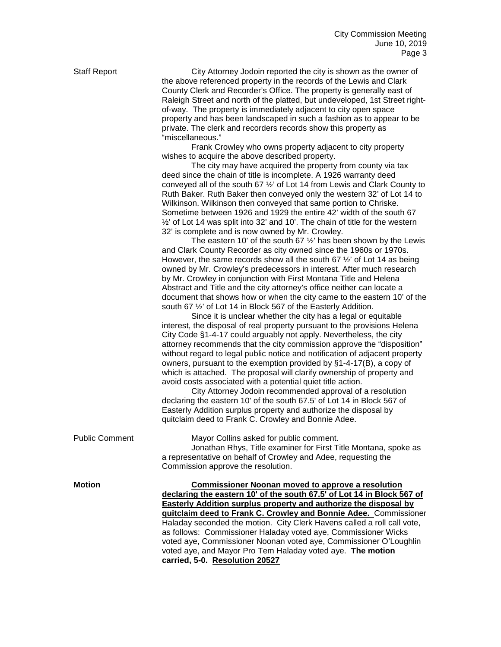| <b>Staff Report</b>   | City Attorney Jodoin reported the city is shown as the owner of<br>the above referenced property in the records of the Lewis and Clark<br>County Clerk and Recorder's Office. The property is generally east of<br>Raleigh Street and north of the platted, but undeveloped, 1st Street right-<br>of-way. The property is immediately adjacent to city open space<br>property and has been landscaped in such a fashion as to appear to be<br>private. The clerk and recorders records show this property as<br>"miscellaneous."<br>Frank Crowley who owns property adjacent to city property<br>wishes to acquire the above described property.<br>The city may have acquired the property from county via tax<br>deed since the chain of title is incomplete. A 1926 warranty deed<br>conveyed all of the south 67 1/2' of Lot 14 from Lewis and Clark County to<br>Ruth Baker. Ruth Baker then conveyed only the western 32' of Lot 14 to<br>Wilkinson. Wilkinson then conveyed that same portion to Chriske.<br>Sometime between 1926 and 1929 the entire 42' width of the south 67<br>1/2' of Lot 14 was split into 32' and 10'. The chain of title for the western<br>32' is complete and is now owned by Mr. Crowley.<br>The eastern 10' of the south 67 $\frac{1}{2}$ ' has been shown by the Lewis<br>and Clark County Recorder as city owned since the 1960s or 1970s.<br>However, the same records show all the south 67 $\frac{1}{2}$ of Lot 14 as being<br>owned by Mr. Crowley's predecessors in interest. After much research<br>by Mr. Crowley in conjunction with First Montana Title and Helena<br>Abstract and Title and the city attorney's office neither can locate a<br>document that shows how or when the city came to the eastern 10' of the<br>south 67 1/2' of Lot 14 in Block 567 of the Easterly Addition.<br>Since it is unclear whether the city has a legal or equitable<br>interest, the disposal of real property pursuant to the provisions Helena<br>City Code §1-4-17 could arguably not apply. Nevertheless, the city<br>attorney recommends that the city commission approve the "disposition"<br>without regard to legal public notice and notification of adjacent property<br>owners, pursuant to the exemption provided by §1-4-17(B), a copy of<br>which is attached. The proposal will clarify ownership of property and<br>avoid costs associated with a potential quiet title action.<br>City Attorney Jodoin recommended approval of a resolution<br>declaring the eastern 10' of the south 67.5' of Lot 14 in Block 567 of<br>Easterly Addition surplus property and authorize the disposal by<br>quitclaim deed to Frank C. Crowley and Bonnie Adee. |
|-----------------------|---------------------------------------------------------------------------------------------------------------------------------------------------------------------------------------------------------------------------------------------------------------------------------------------------------------------------------------------------------------------------------------------------------------------------------------------------------------------------------------------------------------------------------------------------------------------------------------------------------------------------------------------------------------------------------------------------------------------------------------------------------------------------------------------------------------------------------------------------------------------------------------------------------------------------------------------------------------------------------------------------------------------------------------------------------------------------------------------------------------------------------------------------------------------------------------------------------------------------------------------------------------------------------------------------------------------------------------------------------------------------------------------------------------------------------------------------------------------------------------------------------------------------------------------------------------------------------------------------------------------------------------------------------------------------------------------------------------------------------------------------------------------------------------------------------------------------------------------------------------------------------------------------------------------------------------------------------------------------------------------------------------------------------------------------------------------------------------------------------------------------------------------------------------------------------------------------------------------------------------------------------------------------------------------------------------------------------------------------------------------------------------------------------------------------------------------------------------------------------------------------------------------------------------------------------------------------------------------------------------------------------------------------------------------------------------------------------|
| <b>Public Comment</b> | Mayor Collins asked for public comment.<br>Jonathan Rhys, Title examiner for First Title Montana, spoke as<br>a representative on behalf of Crowley and Adee, requesting the<br>Commission approve the resolution.                                                                                                                                                                                                                                                                                                                                                                                                                                                                                                                                                                                                                                                                                                                                                                                                                                                                                                                                                                                                                                                                                                                                                                                                                                                                                                                                                                                                                                                                                                                                                                                                                                                                                                                                                                                                                                                                                                                                                                                                                                                                                                                                                                                                                                                                                                                                                                                                                                                                                      |
| <b>Motion</b>         | <b>Commissioner Noonan moved to approve a resolution</b><br>declaring the eastern 10' of the south 67.5' of Lot 14 in Block 567 of<br><b>Easterly Addition surplus property and authorize the disposal by</b><br>guitclaim deed to Frank C. Crowley and Bonnie Adee. Commissioner<br>Haladay seconded the motion. City Clerk Havens called a roll call vote,<br>as follows: Commissioner Haladay voted aye, Commissioner Wicks<br>voted aye, Commissioner Noonan voted aye, Commissioner O'Loughlin<br>voted aye, and Mayor Pro Tem Haladay voted aye. The motion<br>carried, 5-0. Resolution 20527                                                                                                                                                                                                                                                                                                                                                                                                                                                                                                                                                                                                                                                                                                                                                                                                                                                                                                                                                                                                                                                                                                                                                                                                                                                                                                                                                                                                                                                                                                                                                                                                                                                                                                                                                                                                                                                                                                                                                                                                                                                                                                     |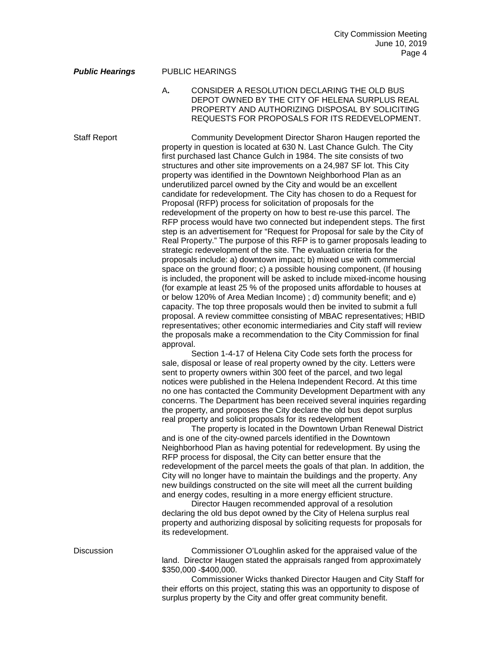## *Public Hearings* PUBLIC HEARINGS

A**.** CONSIDER A RESOLUTION DECLARING THE OLD BUS DEPOT OWNED BY THE CITY OF HELENA SURPLUS REAL PROPERTY AND AUTHORIZING DISPOSAL BY SOLICITING REQUESTS FOR PROPOSALS FOR ITS REDEVELOPMENT.

Staff Report Community Development Director Sharon Haugen reported the property in question is located at 630 N. Last Chance Gulch. The City first purchased last Chance Gulch in 1984. The site consists of two structures and other site improvements on a 24,987 SF lot. This City property was identified in the Downtown Neighborhood Plan as an underutilized parcel owned by the City and would be an excellent candidate for redevelopment. The City has chosen to do a Request for Proposal (RFP) process for solicitation of proposals for the redevelopment of the property on how to best re-use this parcel. The RFP process would have two connected but independent steps. The first step is an advertisement for "Request for Proposal for sale by the City of Real Property." The purpose of this RFP is to garner proposals leading to strategic redevelopment of the site. The evaluation criteria for the proposals include: a) downtown impact; b) mixed use with commercial space on the ground floor; c) a possible housing component, (If housing is included, the proponent will be asked to include mixed-income housing (for example at least 25 % of the proposed units affordable to houses at or below 120% of Area Median Income) ; d) community benefit; and e) capacity. The top three proposals would then be invited to submit a full proposal. A review committee consisting of MBAC representatives; HBID representatives; other economic intermediaries and City staff will review the proposals make a recommendation to the City Commission for final approval.

> Section 1-4-17 of Helena City Code sets forth the process for sale, disposal or lease of real property owned by the city. Letters were sent to property owners within 300 feet of the parcel, and two legal notices were published in the Helena Independent Record. At this time no one has contacted the Community Development Department with any concerns. The Department has been received several inquiries regarding the property, and proposes the City declare the old bus depot surplus real property and solicit proposals for its redevelopment

> The property is located in the Downtown Urban Renewal District and is one of the city-owned parcels identified in the Downtown Neighborhood Plan as having potential for redevelopment. By using the RFP process for disposal, the City can better ensure that the redevelopment of the parcel meets the goals of that plan. In addition, the City will no longer have to maintain the buildings and the property. Any new buildings constructed on the site will meet all the current building and energy codes, resulting in a more energy efficient structure.

> Director Haugen recommended approval of a resolution declaring the old bus depot owned by the City of Helena surplus real property and authorizing disposal by soliciting requests for proposals for its redevelopment.

Discussion Commissioner O'Loughlin asked for the appraised value of the land. Director Haugen stated the appraisals ranged from approximately \$350,000 -\$400,000.

> Commissioner Wicks thanked Director Haugen and City Staff for their efforts on this project, stating this was an opportunity to dispose of surplus property by the City and offer great community benefit.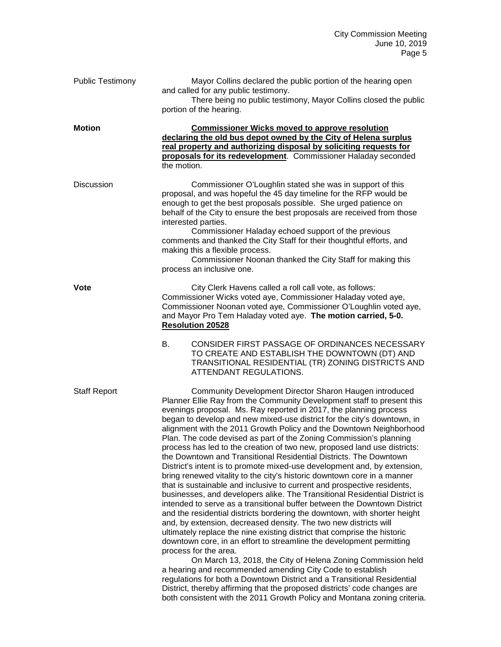| <b>Public Testimony</b> | Mayor Collins declared the public portion of the hearing open<br>and called for any public testimony.<br>There being no public testimony, Mayor Collins closed the public<br>portion of the hearing.                                                                                                                                                                                                                                                                                                                                                                                                                                                                                                                                                                                                                                                                                                                                                                                                                                                                                                                                                                                                                                                                                                                                                                                                                                                                                                                                                                                           |
|-------------------------|------------------------------------------------------------------------------------------------------------------------------------------------------------------------------------------------------------------------------------------------------------------------------------------------------------------------------------------------------------------------------------------------------------------------------------------------------------------------------------------------------------------------------------------------------------------------------------------------------------------------------------------------------------------------------------------------------------------------------------------------------------------------------------------------------------------------------------------------------------------------------------------------------------------------------------------------------------------------------------------------------------------------------------------------------------------------------------------------------------------------------------------------------------------------------------------------------------------------------------------------------------------------------------------------------------------------------------------------------------------------------------------------------------------------------------------------------------------------------------------------------------------------------------------------------------------------------------------------|
| <b>Motion</b>           | <b>Commissioner Wicks moved to approve resolution</b><br>declaring the old bus depot owned by the City of Helena surplus<br>real property and authorizing disposal by soliciting requests for<br>proposals for its redevelopment. Commissioner Haladay seconded<br>the motion.                                                                                                                                                                                                                                                                                                                                                                                                                                                                                                                                                                                                                                                                                                                                                                                                                                                                                                                                                                                                                                                                                                                                                                                                                                                                                                                 |
| <b>Discussion</b>       | Commissioner O'Loughlin stated she was in support of this<br>proposal, and was hopeful the 45 day timeline for the RFP would be<br>enough to get the best proposals possible. She urged patience on<br>behalf of the City to ensure the best proposals are received from those<br>interested parties.<br>Commissioner Haladay echoed support of the previous<br>comments and thanked the City Staff for their thoughtful efforts, and<br>making this a flexible process.<br>Commissioner Noonan thanked the City Staff for making this<br>process an inclusive one.                                                                                                                                                                                                                                                                                                                                                                                                                                                                                                                                                                                                                                                                                                                                                                                                                                                                                                                                                                                                                            |
| Vote                    | City Clerk Havens called a roll call vote, as follows:<br>Commissioner Wicks voted aye, Commissioner Haladay voted aye,<br>Commissioner Noonan voted aye, Commissioner O'Loughlin voted aye,<br>and Mayor Pro Tem Haladay voted aye. The motion carried, 5-0.<br><b>Resolution 20528</b>                                                                                                                                                                                                                                                                                                                                                                                                                                                                                                                                                                                                                                                                                                                                                                                                                                                                                                                                                                                                                                                                                                                                                                                                                                                                                                       |
|                         | CONSIDER FIRST PASSAGE OF ORDINANCES NECESSARY<br>B.<br>TO CREATE AND ESTABLISH THE DOWNTOWN (DT) AND<br>TRANSITIONAL RESIDENTIAL (TR) ZONING DISTRICTS AND<br>ATTENDANT REGULATIONS.                                                                                                                                                                                                                                                                                                                                                                                                                                                                                                                                                                                                                                                                                                                                                                                                                                                                                                                                                                                                                                                                                                                                                                                                                                                                                                                                                                                                          |
| <b>Staff Report</b>     | Community Development Director Sharon Haugen introduced<br>Planner Ellie Ray from the Community Development staff to present this<br>evenings proposal. Ms. Ray reported in 2017, the planning process<br>began to develop and new mixed-use district for the city's downtown, in<br>alignment with the 2011 Growth Policy and the Downtown Neighborhood<br>Plan. The code devised as part of the Zoning Commission's planning<br>process has led to the creation of two new, proposed land use districts:<br>the Downtown and Transitional Residential Districts. The Downtown<br>District's intent is to promote mixed-use development and, by extension,<br>bring renewed vitality to the city's historic downtown core in a manner<br>that is sustainable and inclusive to current and prospective residents,<br>businesses, and developers alike. The Transitional Residential District is<br>intended to serve as a transitional buffer between the Downtown District<br>and the residential districts bordering the downtown, with shorter height<br>and, by extension, decreased density. The two new districts will<br>ultimately replace the nine existing district that comprise the historic<br>downtown core, in an effort to streamline the development permitting<br>process for the area.<br>On March 13, 2018, the City of Helena Zoning Commission held<br>a hearing and recommended amending City Code to establish<br>regulations for both a Downtown District and a Transitional Residential<br>District, thereby affirming that the proposed districts' code changes are |
|                         | both consistent with the 2011 Growth Policy and Montana zoning criteria.                                                                                                                                                                                                                                                                                                                                                                                                                                                                                                                                                                                                                                                                                                                                                                                                                                                                                                                                                                                                                                                                                                                                                                                                                                                                                                                                                                                                                                                                                                                       |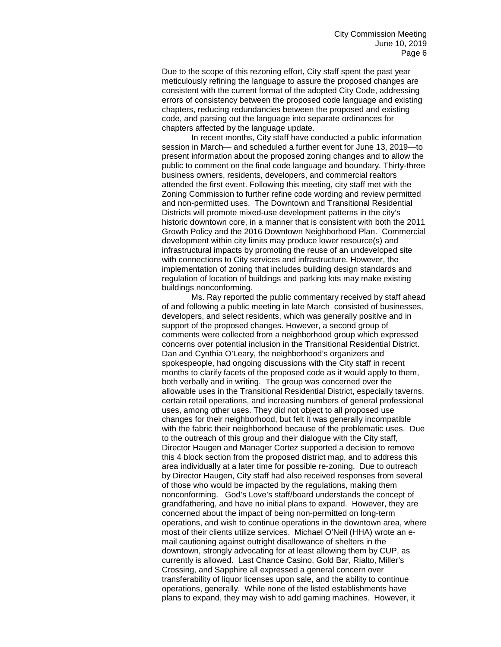Due to the scope of this rezoning effort, City staff spent the past year meticulously refining the language to assure the proposed changes are consistent with the current format of the adopted City Code, addressing errors of consistency between the proposed code language and existing chapters, reducing redundancies between the proposed and existing code, and parsing out the language into separate ordinances for chapters affected by the language update.

In recent months, City staff have conducted a public information session in March— and scheduled a further event for June 13, 2019—to present information about the proposed zoning changes and to allow the public to comment on the final code language and boundary. Thirty-three business owners, residents, developers, and commercial realtors attended the first event. Following this meeting, city staff met with the Zoning Commission to further refine code wording and review permitted and non-permitted uses. The Downtown and Transitional Residential Districts will promote mixed-use development patterns in the city's historic downtown core, in a manner that is consistent with both the 2011 Growth Policy and the 2016 Downtown Neighborhood Plan. Commercial development within city limits may produce lower resource(s) and infrastructural impacts by promoting the reuse of an undeveloped site with connections to City services and infrastructure. However, the implementation of zoning that includes building design standards and regulation of location of buildings and parking lots may make existing buildings nonconforming.

Ms. Ray reported the public commentary received by staff ahead of and following a public meeting in late March consisted of businesses, developers, and select residents, which was generally positive and in support of the proposed changes. However, a second group of comments were collected from a neighborhood group which expressed concerns over potential inclusion in the Transitional Residential District. Dan and Cynthia O'Leary, the neighborhood's organizers and spokespeople, had ongoing discussions with the City staff in recent months to clarify facets of the proposed code as it would apply to them, both verbally and in writing. The group was concerned over the allowable uses in the Transitional Residential District, especially taverns, certain retail operations, and increasing numbers of general professional uses, among other uses. They did not object to all proposed use changes for their neighborhood, but felt it was generally incompatible with the fabric their neighborhood because of the problematic uses. Due to the outreach of this group and their dialogue with the City staff, Director Haugen and Manager Cortez supported a decision to remove this 4 block section from the proposed district map, and to address this area individually at a later time for possible re-zoning. Due to outreach by Director Haugen, City staff had also received responses from several of those who would be impacted by the regulations, making them nonconforming. God's Love's staff/board understands the concept of grandfathering, and have no initial plans to expand. However, they are concerned about the impact of being non-permitted on long-term operations, and wish to continue operations in the downtown area, where most of their clients utilize services. Michael O'Neil (HHA) wrote an email cautioning against outright disallowance of shelters in the downtown, strongly advocating for at least allowing them by CUP, as currently is allowed. Last Chance Casino, Gold Bar, Rialto, Miller's Crossing, and Sapphire all expressed a general concern over transferability of liquor licenses upon sale, and the ability to continue operations, generally. While none of the listed establishments have plans to expand, they may wish to add gaming machines. However, it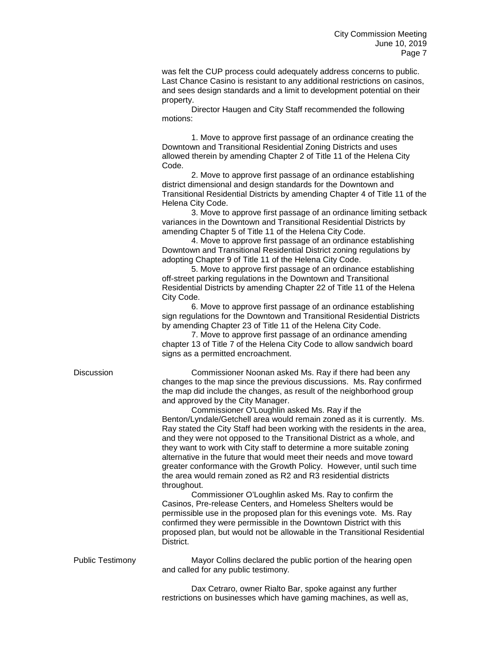was felt the CUP process could adequately address concerns to public. Last Chance Casino is resistant to any additional restrictions on casinos, and sees design standards and a limit to development potential on their property.

Director Haugen and City Staff recommended the following motions:

1. Move to approve first passage of an ordinance creating the Downtown and Transitional Residential Zoning Districts and uses allowed therein by amending Chapter 2 of Title 11 of the Helena City Code.

2. Move to approve first passage of an ordinance establishing district dimensional and design standards for the Downtown and Transitional Residential Districts by amending Chapter 4 of Title 11 of the Helena City Code.

3. Move to approve first passage of an ordinance limiting setback variances in the Downtown and Transitional Residential Districts by amending Chapter 5 of Title 11 of the Helena City Code.

4. Move to approve first passage of an ordinance establishing Downtown and Transitional Residential District zoning regulations by adopting Chapter 9 of Title 11 of the Helena City Code.

5. Move to approve first passage of an ordinance establishing off-street parking regulations in the Downtown and Transitional Residential Districts by amending Chapter 22 of Title 11 of the Helena City Code.

6. Move to approve first passage of an ordinance establishing sign regulations for the Downtown and Transitional Residential Districts by amending Chapter 23 of Title 11 of the Helena City Code.

7. Move to approve first passage of an ordinance amending chapter 13 of Title 7 of the Helena City Code to allow sandwich board signs as a permitted encroachment.

Discussion Commissioner Noonan asked Ms. Ray if there had been any changes to the map since the previous discussions. Ms. Ray confirmed the map did include the changes, as result of the neighborhood group and approved by the City Manager.

> Commissioner O'Loughlin asked Ms. Ray if the Benton/Lyndale/Getchell area would remain zoned as it is currently. Ms. Ray stated the City Staff had been working with the residents in the area, and they were not opposed to the Transitional District as a whole, and they want to work with City staff to determine a more suitable zoning alternative in the future that would meet their needs and move toward greater conformance with the Growth Policy. However, until such time the area would remain zoned as R2 and R3 residential districts throughout.

> Commissioner O'Loughlin asked Ms. Ray to confirm the Casinos, Pre-release Centers, and Homeless Shelters would be permissible use in the proposed plan for this evenings vote. Ms. Ray confirmed they were permissible in the Downtown District with this proposed plan, but would not be allowable in the Transitional Residential District.

Public Testimony Mayor Collins declared the public portion of the hearing open and called for any public testimony.

> Dax Cetraro, owner Rialto Bar, spoke against any further restrictions on businesses which have gaming machines, as well as,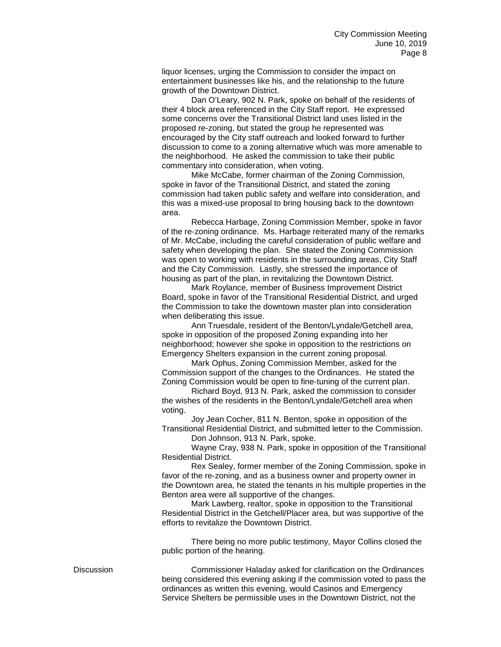liquor licenses, urging the Commission to consider the impact on entertainment businesses like his, and the relationship to the future growth of the Downtown District.

Dan O'Leary, 902 N. Park, spoke on behalf of the residents of their 4 block area referenced in the City Staff report. He expressed some concerns over the Transitional District land uses listed in the proposed re-zoning, but stated the group he represented was encouraged by the City staff outreach and looked forward to further discussion to come to a zoning alternative which was more amenable to the neighborhood. He asked the commission to take their public commentary into consideration, when voting.

Mike McCabe, former chairman of the Zoning Commission, spoke in favor of the Transitional District, and stated the zoning commission had taken public safety and welfare into consideration, and this was a mixed-use proposal to bring housing back to the downtown area.

Rebecca Harbage, Zoning Commission Member, spoke in favor of the re-zoning ordinance. Ms. Harbage reiterated many of the remarks of Mr. McCabe, including the careful consideration of public welfare and safety when developing the plan. She stated the Zoning Commission was open to working with residents in the surrounding areas, City Staff and the City Commission. Lastly, she stressed the importance of housing as part of the plan, in revitalizing the Downtown District.

Mark Roylance, member of Business Improvement District Board, spoke in favor of the Transitional Residential District, and urged the Commission to take the downtown master plan into consideration when deliberating this issue.

Ann Truesdale, resident of the Benton/Lyndale/Getchell area, spoke in opposition of the proposed Zoning expanding into her neighborhood; however she spoke in opposition to the restrictions on Emergency Shelters expansion in the current zoning proposal.

Mark Ophus, Zoning Commission Member, asked for the Commission support of the changes to the Ordinances. He stated the Zoning Commission would be open to fine-tuning of the current plan.

Richard Boyd, 913 N. Park, asked the commission to consider the wishes of the residents in the Benton/Lyndale/Getchell area when voting.

Joy Jean Cocher, 811 N. Benton, spoke in opposition of the Transitional Residential District, and submitted letter to the Commission. Don Johnson, 913 N. Park, spoke.

Wayne Cray, 938 N. Park, spoke in opposition of the Transitional Residential District.

Rex Sealey, former member of the Zoning Commission, spoke in favor of the re-zoning, and as a business owner and property owner in the Downtown area, he stated the tenants in his multiple properties in the Benton area were all supportive of the changes.

Mark Lawberg, realtor, spoke in opposition to the Transitional Residential District in the Getchell/Placer area, but was supportive of the efforts to revitalize the Downtown District.

There being no more public testimony, Mayor Collins closed the public portion of the hearing.

Discussion Commissioner Haladay asked for clarification on the Ordinances being considered this evening asking if the commission voted to pass the ordinances as written this evening, would Casinos and Emergency Service Shelters be permissible uses in the Downtown District, not the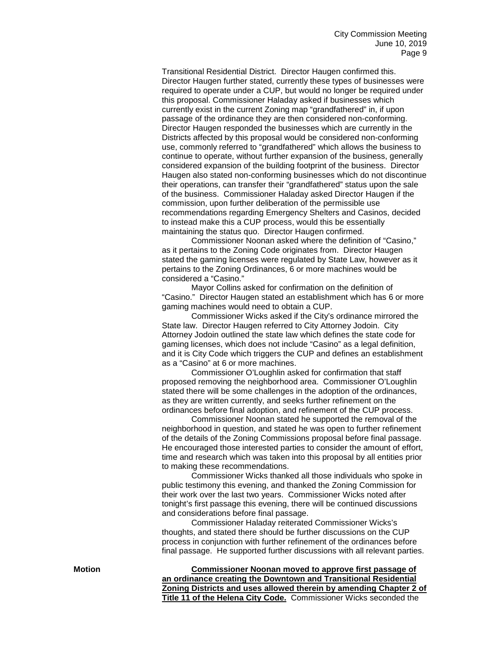Transitional Residential District. Director Haugen confirmed this. Director Haugen further stated, currently these types of businesses were required to operate under a CUP, but would no longer be required under this proposal. Commissioner Haladay asked if businesses which currently exist in the current Zoning map "grandfathered" in, if upon passage of the ordinance they are then considered non-conforming. Director Haugen responded the businesses which are currently in the Districts affected by this proposal would be considered non-conforming use, commonly referred to "grandfathered" which allows the business to continue to operate, without further expansion of the business, generally considered expansion of the building footprint of the business. Director Haugen also stated non-conforming businesses which do not discontinue their operations, can transfer their "grandfathered" status upon the sale of the business. Commissioner Haladay asked Director Haugen if the commission, upon further deliberation of the permissible use recommendations regarding Emergency Shelters and Casinos, decided to instead make this a CUP process, would this be essentially maintaining the status quo. Director Haugen confirmed.

Commissioner Noonan asked where the definition of "Casino," as it pertains to the Zoning Code originates from. Director Haugen stated the gaming licenses were regulated by State Law, however as it pertains to the Zoning Ordinances, 6 or more machines would be considered a "Casino."

Mayor Collins asked for confirmation on the definition of "Casino." Director Haugen stated an establishment which has 6 or more gaming machines would need to obtain a CUP.

Commissioner Wicks asked if the City's ordinance mirrored the State law. Director Haugen referred to City Attorney Jodoin. City Attorney Jodoin outlined the state law which defines the state code for gaming licenses, which does not include "Casino" as a legal definition, and it is City Code which triggers the CUP and defines an establishment as a "Casino" at 6 or more machines.

Commissioner O'Loughlin asked for confirmation that staff proposed removing the neighborhood area. Commissioner O'Loughlin stated there will be some challenges in the adoption of the ordinances, as they are written currently, and seeks further refinement on the ordinances before final adoption, and refinement of the CUP process.

Commissioner Noonan stated he supported the removal of the neighborhood in question, and stated he was open to further refinement of the details of the Zoning Commissions proposal before final passage. He encouraged those interested parties to consider the amount of effort, time and research which was taken into this proposal by all entities prior to making these recommendations.

Commissioner Wicks thanked all those individuals who spoke in public testimony this evening, and thanked the Zoning Commission for their work over the last two years. Commissioner Wicks noted after tonight's first passage this evening, there will be continued discussions and considerations before final passage.

Commissioner Haladay reiterated Commissioner Wicks's thoughts, and stated there should be further discussions on the CUP process in conjunction with further refinement of the ordinances before final passage. He supported further discussions with all relevant parties.

**Motion Commissioner Noonan moved to approve first passage of an ordinance creating the Downtown and Transitional Residential Zoning Districts and uses allowed therein by amending Chapter 2 of Title 11 of the Helena City Code.** Commissioner Wicks seconded the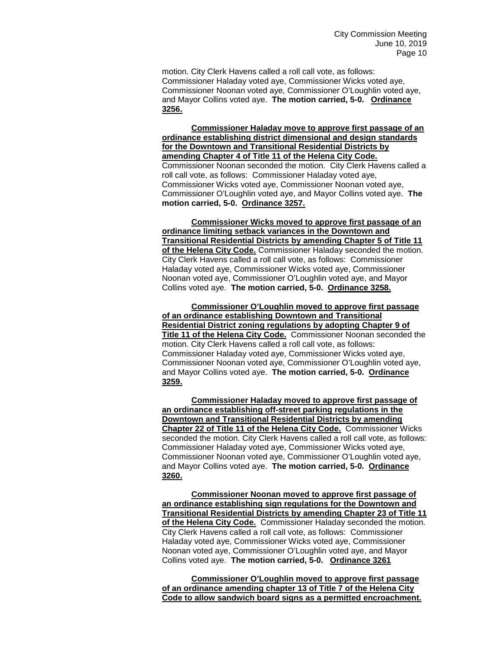motion. City Clerk Havens called a roll call vote, as follows: Commissioner Haladay voted aye, Commissioner Wicks voted aye, Commissioner Noonan voted aye, Commissioner O'Loughlin voted aye, and Mayor Collins voted aye. **The motion carried, 5-0. Ordinance 3256.**

**Commissioner Haladay move to approve first passage of an ordinance establishing district dimensional and design standards for the Downtown and Transitional Residential Districts by amending Chapter 4 of Title 11 of the Helena City Code.** Commissioner Noonan seconded the motion. City Clerk Havens called a roll call vote, as follows: Commissioner Haladay voted aye, Commissioner Wicks voted aye, Commissioner Noonan voted aye, Commissioner O'Loughlin voted aye, and Mayor Collins voted aye. **The motion carried, 5-0. Ordinance 3257.**

**Commissioner Wicks moved to approve first passage of an ordinance limiting setback variances in the Downtown and Transitional Residential Districts by amending Chapter 5 of Title 11 of the Helena City Code.** Commissioner Haladay seconded the motion. City Clerk Havens called a roll call vote, as follows: Commissioner Haladay voted aye, Commissioner Wicks voted aye, Commissioner Noonan voted aye, Commissioner O'Loughlin voted aye, and Mayor Collins voted aye. **The motion carried, 5-0. Ordinance 3258.** 

**Commissioner O'Loughlin moved to approve first passage of an ordinance establishing Downtown and Transitional Residential District zoning regulations by adopting Chapter 9 of Title 11 of the Helena City Code.** Commissioner Noonan seconded the motion. City Clerk Havens called a roll call vote, as follows: Commissioner Haladay voted aye, Commissioner Wicks voted aye, Commissioner Noonan voted aye, Commissioner O'Loughlin voted aye, and Mayor Collins voted aye. **The motion carried, 5-0. Ordinance 3259.**

**Commissioner Haladay moved to approve first passage of an ordinance establishing off-street parking regulations in the Downtown and Transitional Residential Districts by amending Chapter 22 of Title 11 of the Helena City Code.** Commissioner Wicks seconded the motion. City Clerk Havens called a roll call vote, as follows: Commissioner Haladay voted aye, Commissioner Wicks voted aye, Commissioner Noonan voted aye, Commissioner O'Loughlin voted aye, and Mayor Collins voted aye. **The motion carried, 5-0. Ordinance 3260.**

**Commissioner Noonan moved to approve first passage of an ordinance establishing sign regulations for the Downtown and Transitional Residential Districts by amending Chapter 23 of Title 11 of the Helena City Code.** Commissioner Haladay seconded the motion. City Clerk Havens called a roll call vote, as follows: Commissioner Haladay voted aye, Commissioner Wicks voted aye, Commissioner Noonan voted aye, Commissioner O'Loughlin voted aye, and Mayor Collins voted aye. **The motion carried, 5-0. Ordinance 3261**

**Commissioner O'Loughlin moved to approve first passage of an ordinance amending chapter 13 of Title 7 of the Helena City Code to allow sandwich board signs as a permitted encroachment.**